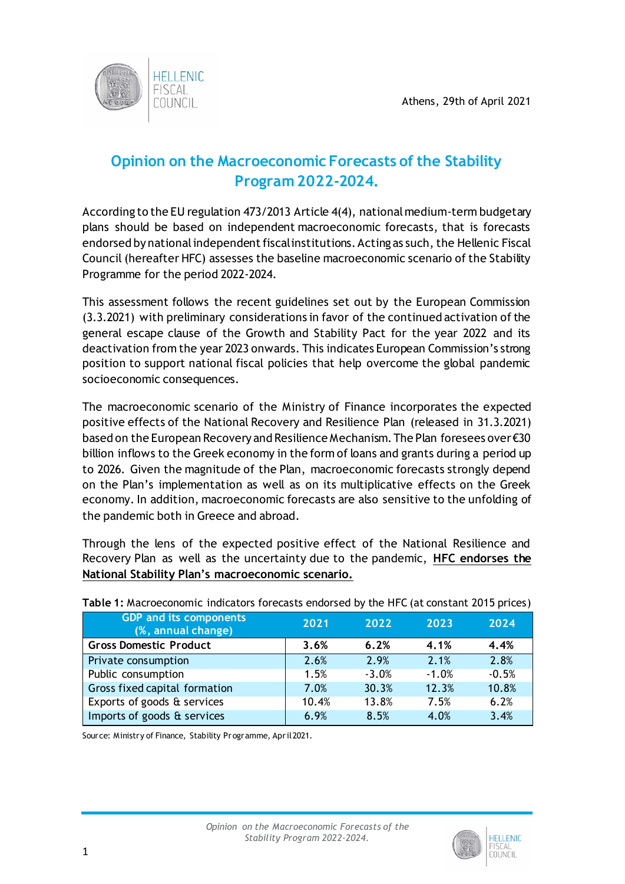

## **Opinion on the Macroeconomic Forecasts of the Stability Program 2022-2024.**

According to the EU regulation 473/2013 Article 4(4), national medium-term budgetary plans should be based on independent macroeconomic forecasts, that is forecasts endorsed by national independent fiscal institutions. Acting as such, the Hellenic Fiscal Council (hereafter HFC) assesses the baseline macroeconomic scenario of the Stability Programme for the period 2022-2024.

This assessment follows the recent guidelines set out by the European Commission (3.3.2021) with preliminary considerations in favor of the continued activation of the general escape clause of the Growth and Stability Pact for the year 2022 and its deactivation from the year 2023 onwards. This indicates European Commission's strong position to support national fiscal policies that help overcome the global pandemic socioeconomic consequences.

The macroeconomic scenario of the Ministry of Finance incorporates the expected positive effects of the National Recovery and Resilience Plan (released in 31.3.2021) based on the European Recovery and Resilience Mechanism. The Plan foresees over €30 billion inflows to the Greek economy in the form of loans and grants during a period up to 2026. Given the magnitude of the Plan, macroeconomic forecasts strongly depend on the Plan's implementation as well as on its multiplicative effects on the Greek economy. In addition, macroeconomic forecasts are also sensitive to the unfolding of the pandemic both in Greece and abroad.

Through the lens of the expected positive effect of the National Resilience and Recovery Plan as well as the uncertainty due to the pandemic, **HFC endorses the National Stability Plan's macroeconomic scenario.**

| <b>GDP and its components</b><br>(%, annual change) | 2021  | 2022    | 2023    | 2024    |
|-----------------------------------------------------|-------|---------|---------|---------|
| <b>Gross Domestic Product</b>                       | 3.6%  | 6.2%    | 4.1%    | 4.4%    |
| Private consumption                                 | 2.6%  | 2.9%    | 2.1%    | 2.8%    |
| Public consumption                                  | 1.5%  | $-3.0%$ | $-1.0%$ | $-0.5%$ |
| Gross fixed capital formation                       | 7.0%  | 30.3%   | 12.3%   | 10.8%   |
| Exports of goods & services                         | 10.4% | 13.8%   | 7.5%    | 6.2%    |
| Imports of goods & services                         | 6.9%  | 8.5%    | 4.0%    | 3.4%    |

**Table 1:** Macroeconomic indicators forecasts endorsed by the HFC (at constant 2015 prices)

Source: Ministry of Finance, Stability Programme, April 2021.

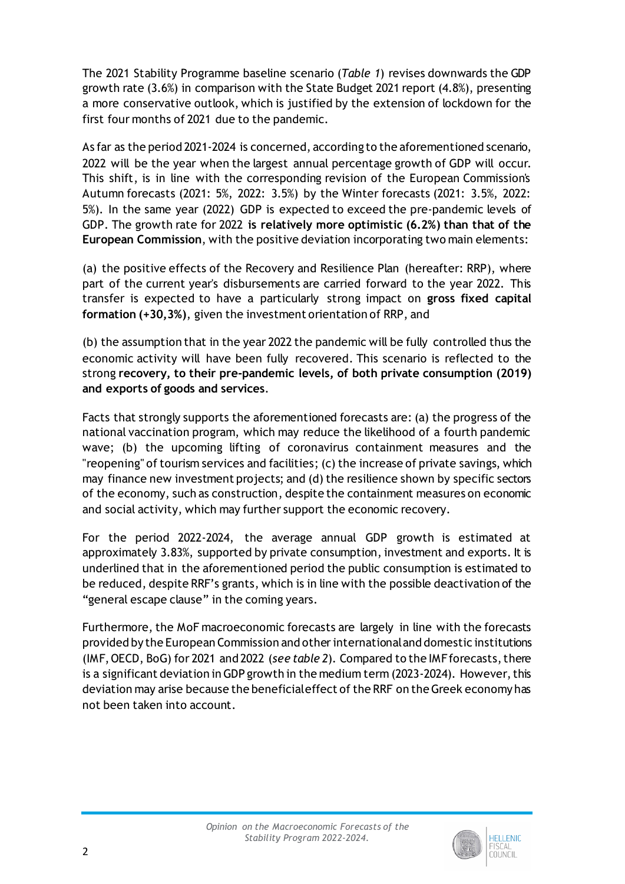The 2021 Stability Programme baseline scenario (*Table 1*) revises downwards the GDP growth rate (3.6%) in comparison with the State Budget 2021 report (4.8%), presenting a more conservative outlook, which is justified by the extension of lockdown for the first four months of 2021 due to the pandemic.

As far as the period 2021-2024 is concerned, according to the aforementioned scenario, 2022 will be the year when the largest annual percentage growth of GDP will occur. This shift, is in line with the corresponding revision of the European Commission's Autumn forecasts (2021: 5%, 2022: 3.5%) by the Winter forecasts (2021: 3.5%, 2022: 5%). In the same year (2022) GDP is expected to exceed the pre-pandemic levels of GDP. The growth rate for 2022 **is relatively more optimistic (6.2%) than that of the European Commission**, with the positive deviation incorporating two main elements:

(a) the positive effects of the Recovery and Resilience Plan (hereafter: RRP), where part of the current year's disbursements are carried forward to the year 2022. This transfer is expected to have a particularly strong impact on **gross fixed capital formation (+30,3%)**, given the investment orientation of RRP, and

(b) the assumption that in the year 2022 the pandemic will be fully controlled thus the economic activity will have been fully recovered. This scenario is reflected to the strong **recovery, to their pre-pandemic levels, of both private consumption (2019) and exports of goods and services**.

Facts that strongly supports the aforementioned forecasts are: (a) the progress of the national vaccination program, which may reduce the likelihood of a fourth pandemic wave; (b) the upcoming lifting of coronavirus containment measures and the "reopening" of tourism services and facilities; (c) the increase of private savings, which may finance new investment projects; and (d) the resilience shown by specific sectors of the economy, such as construction, despite the containment measures on economic and social activity, which may further support the economic recovery.

For the period 2022-2024, the average annual GDP growth is estimated at approximately 3.83%, supported by private consumption, investment and exports. It is underlined that in the aforementioned period the public consumption is estimated to be reduced, despite RRF's grants, which is in line with the possible deactivation of the "general escape clause" in the coming years.

Furthermore, the MoF macroeconomic forecasts are largely in line with the forecasts provided by the European Commission and other international and domestic institutions (IMF,OECD, BoG) for 2021 and 2022 (*see table 2*). Compared to the IMF forecasts, there is a significant deviation in GDP growth in the medium term (2023-2024). However,this deviation may arise because the beneficial effect of the RRF on the Greek economy has not been taken into account.